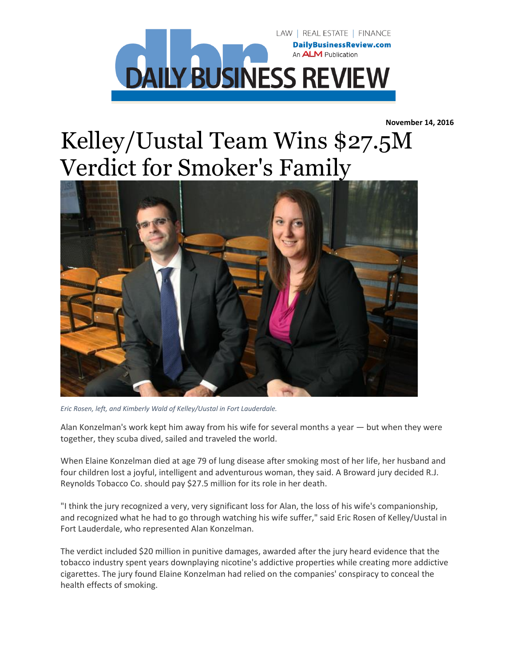

**November 14, 2016**

## Kelley/Uustal Team Wins \$27.5M Verdict for Smoker's Family



*Eric Rosen, left, and Kimberly Wald of Kelley/Uustal in Fort Lauderdale.*

Alan Konzelman's work kept him away from his wife for several months a year — but when they were together, they scuba dived, sailed and traveled the world.

When Elaine Konzelman died at age 79 of lung disease after smoking most of her life, her husband and four children lost a joyful, intelligent and adventurous woman, they said. A Broward jury decided R.J. Reynolds Tobacco Co. should pay \$27.5 million for its role in her death.

"I think the jury recognized a very, very significant loss for Alan, the loss of his wife's companionship, and recognized what he had to go through watching his wife suffer," said Eric Rosen of Kelley/Uustal in Fort Lauderdale, who represented Alan Konzelman.

The verdict included \$20 million in punitive damages, awarded after the jury heard evidence that the tobacco industry spent years downplaying nicotine's addictive properties while creating more addictive cigarettes. The jury found Elaine Konzelman had relied on the companies' conspiracy to conceal the health effects of smoking.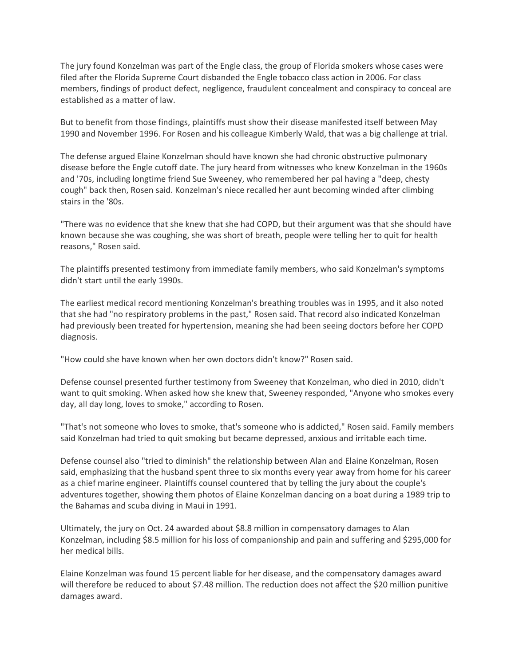The jury found Konzelman was part of the Engle class, the group of Florida smokers whose cases were filed after the Florida Supreme Court disbanded the Engle tobacco class action in 2006. For class members, findings of product defect, negligence, fraudulent concealment and conspiracy to conceal are established as a matter of law.

But to benefit from those findings, plaintiffs must show their disease manifested itself between May 1990 and November 1996. For Rosen and his colleague Kimberly Wald, that was a big challenge at trial.

The defense argued Elaine Konzelman should have known she had chronic obstructive pulmonary disease before the Engle cutoff date. The jury heard from witnesses who knew Konzelman in the 1960s and '70s, including longtime friend Sue Sweeney, who remembered her pal having a "deep, chesty cough" back then, Rosen said. Konzelman's niece recalled her aunt becoming winded after climbing stairs in the '80s.

"There was no evidence that she knew that she had COPD, but their argument was that she should have known because she was coughing, she was short of breath, people were telling her to quit for health reasons," Rosen said.

The plaintiffs presented testimony from immediate family members, who said Konzelman's symptoms didn't start until the early 1990s.

The earliest medical record mentioning Konzelman's breathing troubles was in 1995, and it also noted that she had "no respiratory problems in the past," Rosen said. That record also indicated Konzelman had previously been treated for hypertension, meaning she had been seeing doctors before her COPD diagnosis.

"How could she have known when her own doctors didn't know?" Rosen said.

Defense counsel presented further testimony from Sweeney that Konzelman, who died in 2010, didn't want to quit smoking. When asked how she knew that, Sweeney responded, "Anyone who smokes every day, all day long, loves to smoke," according to Rosen.

"That's not someone who loves to smoke, that's someone who is addicted," Rosen said. Family members said Konzelman had tried to quit smoking but became depressed, anxious and irritable each time.

Defense counsel also "tried to diminish" the relationship between Alan and Elaine Konzelman, Rosen said, emphasizing that the husband spent three to six months every year away from home for his career as a chief marine engineer. Plaintiffs counsel countered that by telling the jury about the couple's adventures together, showing them photos of Elaine Konzelman dancing on a boat during a 1989 trip to the Bahamas and scuba diving in Maui in 1991.

Ultimately, the jury on Oct. 24 awarded about \$8.8 million in compensatory damages to Alan Konzelman, including \$8.5 million for his loss of companionship and pain and suffering and \$295,000 for her medical bills.

Elaine Konzelman was found 15 percent liable for her disease, and the compensatory damages award will therefore be reduced to about \$7.48 million. The reduction does not affect the \$20 million punitive damages award.